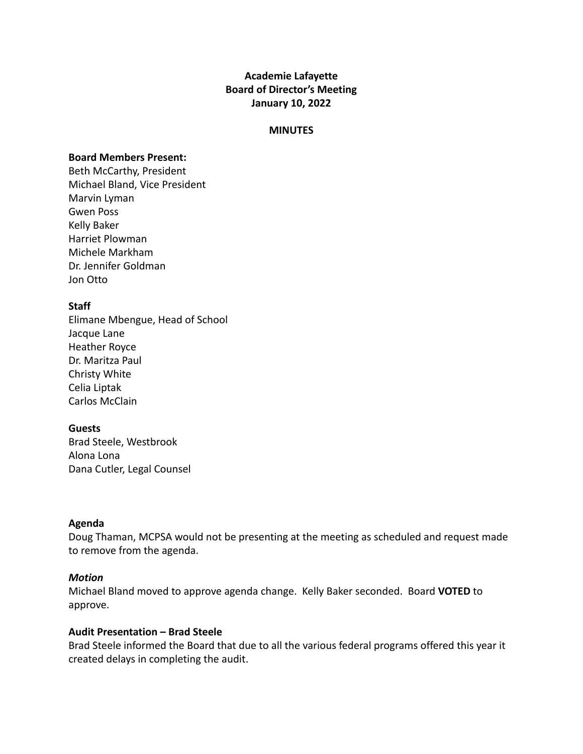# **Academie Lafayette Board of Director's Meeting January 10, 2022**

#### **MINUTES**

#### **Board Members Present:**

Beth McCarthy, President Michael Bland, Vice President Marvin Lyman Gwen Poss Kelly Baker Harriet Plowman Michele Markham Dr. Jennifer Goldman Jon Otto

## **Staff**

Elimane Mbengue, Head of School Jacque Lane Heather Royce Dr. Maritza Paul Christy White Celia Liptak Carlos McClain

#### **Guests**

Brad Steele, Westbrook Alona Lona Dana Cutler, Legal Counsel

#### **Agenda**

Doug Thaman, MCPSA would not be presenting at the meeting as scheduled and request made to remove from the agenda.

## *Motion*

Michael Bland moved to approve agenda change. Kelly Baker seconded. Board **VOTED** to approve.

#### **Audit Presentation – Brad Steele**

Brad Steele informed the Board that due to all the various federal programs offered this year it created delays in completing the audit.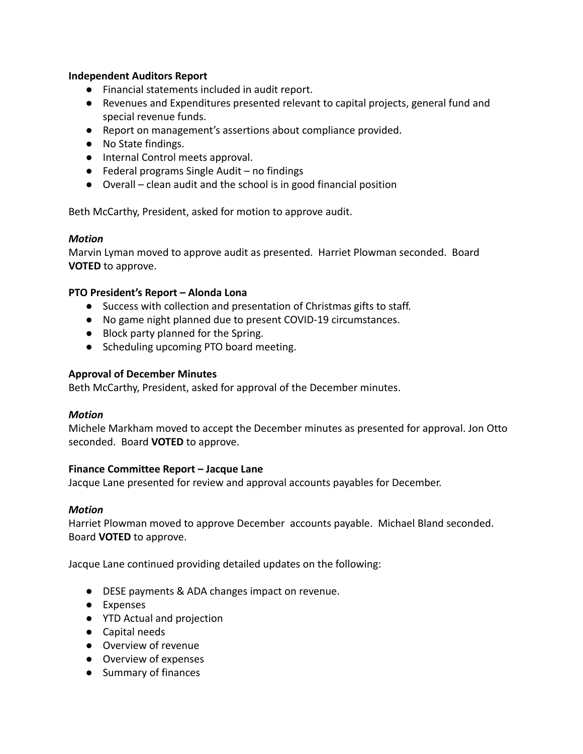## **Independent Auditors Report**

- Financial statements included in audit report.
- Revenues and Expenditures presented relevant to capital projects, general fund and special revenue funds.
- Report on management's assertions about compliance provided.
- No State findings.
- Internal Control meets approval.
- $\bullet$  Federal programs Single Audit no findings
- Overall clean audit and the school is in good financial position

Beth McCarthy, President, asked for motion to approve audit.

## *Motion*

Marvin Lyman moved to approve audit as presented. Harriet Plowman seconded. Board **VOTED** to approve.

## **PTO President's Report – Alonda Lona**

- Success with collection and presentation of Christmas gifts to staff.
- No game night planned due to present COVID-19 circumstances.
- Block party planned for the Spring.
- Scheduling upcoming PTO board meeting.

## **Approval of December Minutes**

Beth McCarthy, President, asked for approval of the December minutes.

## *Motion*

Michele Markham moved to accept the December minutes as presented for approval. Jon Otto seconded. Board **VOTED** to approve.

## **Finance Committee Report – Jacque Lane**

Jacque Lane presented for review and approval accounts payables for December.

## *Motion*

Harriet Plowman moved to approve December accounts payable. Michael Bland seconded. Board **VOTED** to approve.

Jacque Lane continued providing detailed updates on the following:

- DESE payments & ADA changes impact on revenue.
- Expenses
- YTD Actual and projection
- Capital needs
- Overview of revenue
- Overview of expenses
- Summary of finances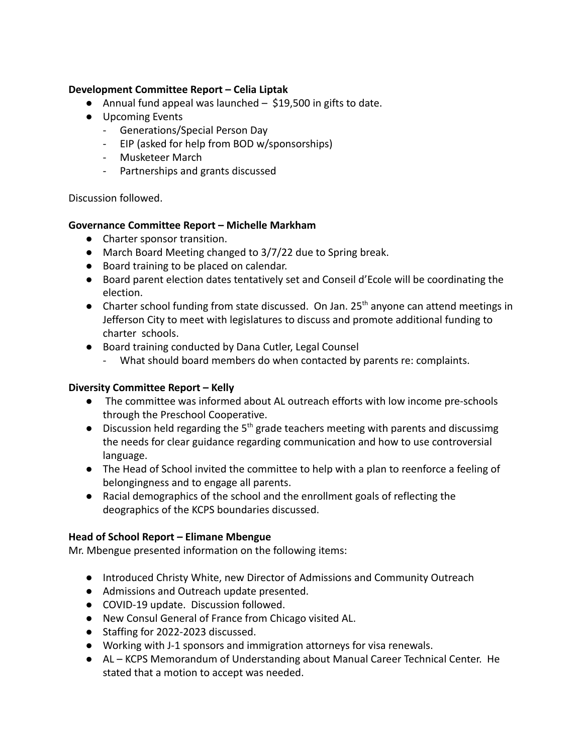# **Development Committee Report – Celia Liptak**

- Annual fund appeal was launched \$19,500 in gifts to date.
- Upcoming Events
	- Generations/Special Person Day
	- EIP (asked for help from BOD w/sponsorships)
	- Musketeer March
	- Partnerships and grants discussed

## Discussion followed.

## **Governance Committee Report – Michelle Markham**

- Charter sponsor transition.
- March Board Meeting changed to 3/7/22 due to Spring break.
- Board training to be placed on calendar.
- Board parent election dates tentatively set and Conseil d'Ecole will be coordinating the election.
- Charter school funding from state discussed. On Jan.  $25<sup>th</sup>$  anyone can attend meetings in Jefferson City to meet with legislatures to discuss and promote additional funding to charter schools.
- Board training conducted by Dana Cutler, Legal Counsel
	- What should board members do when contacted by parents re: complaints.

# **Diversity Committee Report – Kelly**

- The committee was informed about AL outreach efforts with low income pre-schools through the Preschool Cooperative.
- Discussion held regarding the  $5<sup>th</sup>$  grade teachers meeting with parents and discussimg the needs for clear guidance regarding communication and how to use controversial language.
- The Head of School invited the committee to help with a plan to reenforce a feeling of belongingness and to engage all parents.
- Racial demographics of the school and the enrollment goals of reflecting the deographics of the KCPS boundaries discussed.

# **Head of School Report – Elimane Mbengue**

Mr. Mbengue presented information on the following items:

- Introduced Christy White, new Director of Admissions and Community Outreach
- Admissions and Outreach update presented.
- COVID-19 update. Discussion followed.
- New Consul General of France from Chicago visited AL.
- Staffing for 2022-2023 discussed.
- Working with J-1 sponsors and immigration attorneys for visa renewals.
- AL KCPS Memorandum of Understanding about Manual Career Technical Center. He stated that a motion to accept was needed.